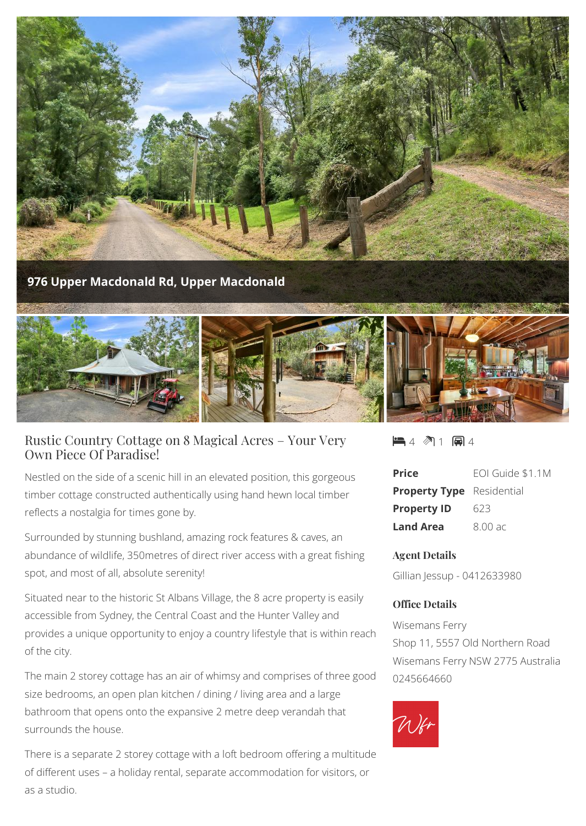

## Rustic Country Cottage on 8 Magical Acres – Your Very Own Piece Of Paradise!

Nestled on the side of a scenic hill in an elevated position, this gorgeous timber cottage constructed authentically using hand hewn local timber reflects a nostalgia for times gone by.

Surrounded by stunning bushland, amazing rock features & caves, an abundance of wildlife, 350metres of direct river access with a great fishing spot, and most of all, absolute serenity!

Situated near to the historic St Albans Village, the 8 acre property is easily accessible from Sydney, the Central Coast and the Hunter Valley and provides a unique opportunity to enjoy a country lifestyle that is within reach of the city.

The main 2 storey cottage has an air of whimsy and comprises of three good size bedrooms, an open plan kitchen / dining / living area and a large bathroom that opens onto the expansive 2 metre deep verandah that surrounds the house.

There is a separate 2 storey cottage with a loft bedroom offering a multitude of different uses – a holiday rental, separate accommodation for visitors, or as a studio.

21 国4

| <b>Price</b>                     | EOI Guide \$1.1M |
|----------------------------------|------------------|
| <b>Property Type</b> Residential |                  |
| <b>Property ID</b>               | 623              |
| <b>Land Area</b>                 | $8.00$ ac        |

## **Agent Details**

Gillian Jessup - 0412633980

## **Office Details**

Wisemans Ferry Shop 11, 5557 Old Northern Road Wisemans Ferry NSW 2775 Australia 0245664660